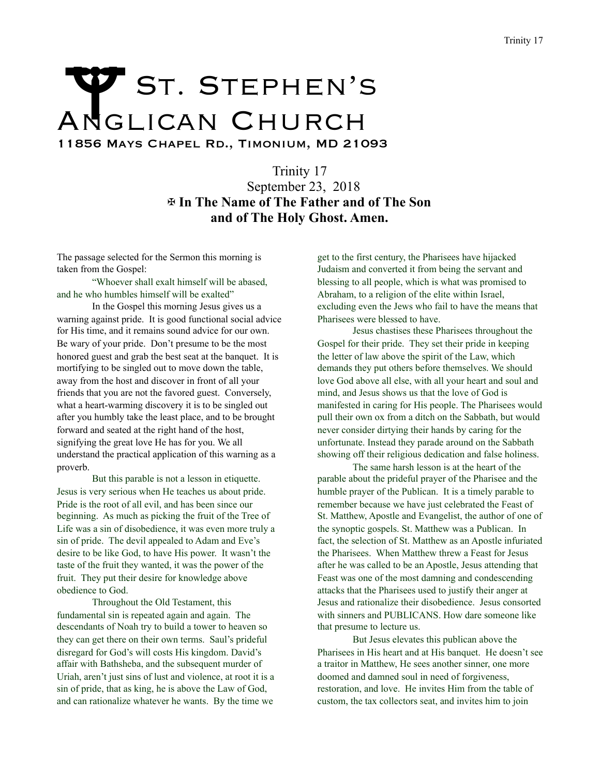## Trinity 17<br>
ANGLICAN CHURCH

11856 Mays Chapel Rd., Timonium, MD 21093

Trinity 17 September 23, 2018 ✠ **In The Name of The Father and of The Son and of The Holy Ghost. Amen.** 

The passage selected for the Sermon this morning is taken from the Gospel:

 "Whoever shall exalt himself will be abased, and he who humbles himself will be exalted"

 In the Gospel this morning Jesus gives us a warning against pride. It is good functional social advice for His time, and it remains sound advice for our own. Be wary of your pride. Don't presume to be the most honored guest and grab the best seat at the banquet. It is mortifying to be singled out to move down the table, away from the host and discover in front of all your friends that you are not the favored guest. Conversely, what a heart-warming discovery it is to be singled out after you humbly take the least place, and to be brought forward and seated at the right hand of the host, signifying the great love He has for you. We all understand the practical application of this warning as a proverb.

 But this parable is not a lesson in etiquette. Jesus is very serious when He teaches us about pride. Pride is the root of all evil, and has been since our beginning. As much as picking the fruit of the Tree of Life was a sin of disobedience, it was even more truly a sin of pride. The devil appealed to Adam and Eve's desire to be like God, to have His power. It wasn't the taste of the fruit they wanted, it was the power of the fruit. They put their desire for knowledge above obedience to God.

 Throughout the Old Testament, this fundamental sin is repeated again and again. The descendants of Noah try to build a tower to heaven so they can get there on their own terms. Saul's prideful disregard for God's will costs His kingdom. David's affair with Bathsheba, and the subsequent murder of Uriah, aren't just sins of lust and violence, at root it is a sin of pride, that as king, he is above the Law of God, and can rationalize whatever he wants. By the time we

get to the first century, the Pharisees have hijacked Judaism and converted it from being the servant and blessing to all people, which is what was promised to Abraham, to a religion of the elite within Israel, excluding even the Jews who fail to have the means that Pharisees were blessed to have.

 Jesus chastises these Pharisees throughout the Gospel for their pride. They set their pride in keeping the letter of law above the spirit of the Law, which demands they put others before themselves. We should love God above all else, with all your heart and soul and mind, and Jesus shows us that the love of God is manifested in caring for His people. The Pharisees would pull their own ox from a ditch on the Sabbath, but would never consider dirtying their hands by caring for the unfortunate. Instead they parade around on the Sabbath showing off their religious dedication and false holiness.

 The same harsh lesson is at the heart of the parable about the prideful prayer of the Pharisee and the humble prayer of the Publican. It is a timely parable to remember because we have just celebrated the Feast of St. Matthew, Apostle and Evangelist, the author of one of the synoptic gospels. St. Matthew was a Publican. In fact, the selection of St. Matthew as an Apostle infuriated the Pharisees. When Matthew threw a Feast for Jesus after he was called to be an Apostle, Jesus attending that Feast was one of the most damning and condescending attacks that the Pharisees used to justify their anger at Jesus and rationalize their disobedience. Jesus consorted with sinners and PUBLICANS. How dare someone like that presume to lecture us.

 But Jesus elevates this publican above the Pharisees in His heart and at His banquet. He doesn't see a traitor in Matthew, He sees another sinner, one more doomed and damned soul in need of forgiveness, restoration, and love. He invites Him from the table of custom, the tax collectors seat, and invites him to join